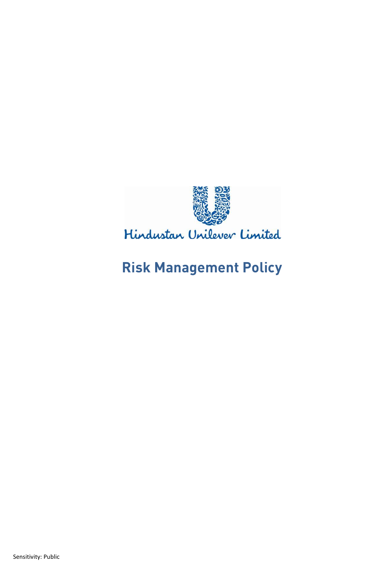

Hindustan Unilever Limited

# **Risk Management Policy**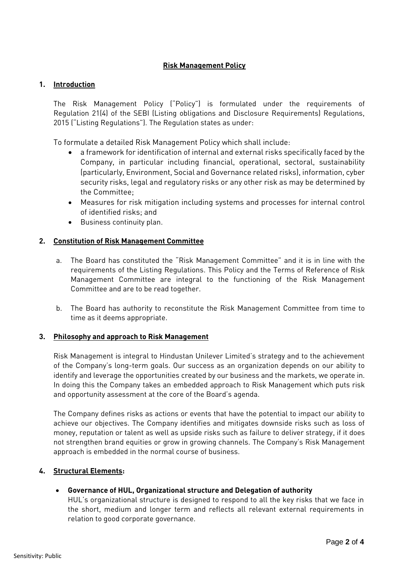# **Risk Management Policy**

## **1. Introduction**

The Risk Management Policy ("Policy") is formulated under the requirements of Regulation 21(4) of the SEBI (Listing obligations and Disclosure Requirements) Regulations, 2015 ("Listing Regulations"). The Regulation states as under:

To formulate a detailed Risk Management Policy which shall include:

- a framework for identification of internal and external risks specifically faced by the Company, in particular including financial, operational, sectoral, sustainability (particularly, Environment, Social and Governance related risks), information, cyber security risks, legal and regulatory risks or any other risk as may be determined by the Committee;
- Measures for risk mitigation including systems and processes for internal control of identified risks; and
- Business continuity plan.

## **2. Constitution of Risk Management Committee**

- a. The Board has constituted the "Risk Management Committee" and it is in line with the requirements of the Listing Regulations. This Policy and the Terms of Reference of Risk Management Committee are integral to the functioning of the Risk Management Committee and are to be read together.
- b. The Board has authority to reconstitute the Risk Management Committee from time to time as it deems appropriate.

#### **3. Philosophy and approach to Risk Management**

Risk Management is integral to Hindustan Unilever Limited's strategy and to the achievement of the Company's long-term goals. Our success as an organization depends on our ability to identify and leverage the opportunities created by our business and the markets, we operate in. In doing this the Company takes an embedded approach to Risk Management which puts risk and opportunity assessment at the core of the Board's agenda.

The Company defines risks as actions or events that have the potential to impact our ability to achieve our objectives. The Company identifies and mitigates downside risks such as loss of money, reputation or talent as well as upside risks such as failure to deliver strategy, if it does not strengthen brand equities or grow in growing channels. The Company's Risk Management approach is embedded in the normal course of business.

#### **4. Structural Elements:**

#### • **Governance of HUL, Organizational structure and Delegation of authority**

HUL's organizational structure is designed to respond to all the key risks that we face in the short, medium and longer term and reflects all relevant external requirements in relation to good corporate governance.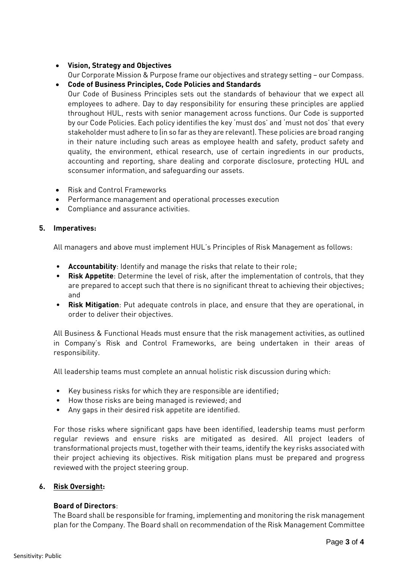# • **Vision, Strategy and Objectives**

Our Corporate Mission & Purpose frame our objectives and strategy setting – our Compass.

### • **Code of Business Principles, Code Policies and Standards**

Our Code of Business Principles sets out the standards of behaviour that we expect all employees to adhere. Day to day responsibility for ensuring these principles are applied throughout HUL, rests with senior management across functions. Our Code is supported by our Code Policies. Each policy identifies the key 'must dos' and 'must not dos' that every stakeholder must adhere to (in so far as they are relevant). These policies are broad ranging in their nature including such areas as employee health and safety, product safety and quality, the environment, ethical research, use of certain ingredients in our products, accounting and reporting, share dealing and corporate disclosure, protecting HUL and sconsumer information, and safeguarding our assets.

- Risk and Control Frameworks
- Performance management and operational processes execution
- Compliance and assurance activities.

#### **5. Imperatives:**

All managers and above must implement HUL's Principles of Risk Management as follows:

- **Accountability**: Identify and manage the risks that relate to their role;
- **Risk Appetite**: Determine the level of risk, after the implementation of controls, that they are prepared to accept such that there is no significant threat to achieving their objectives; and
- **Risk Mitigation**: Put adequate controls in place, and ensure that they are operational, in order to deliver their objectives.

All Business & Functional Heads must ensure that the risk management activities, as outlined in Company's Risk and Control Frameworks, are being undertaken in their areas of responsibility.

All leadership teams must complete an annual holistic risk discussion during which:

- Key business risks for which they are responsible are identified;
- How those risks are being managed is reviewed; and
- Any gaps in their desired risk appetite are identified.

For those risks where significant gaps have been identified, leadership teams must perform regular reviews and ensure risks are mitigated as desired. All project leaders of transformational projects must, together with their teams, identify the key risks associated with their project achieving its objectives. Risk mitigation plans must be prepared and progress reviewed with the project steering group.

#### **6. Risk Oversight:**

#### **Board of Directors**:

The Board shall be responsible for framing, implementing and monitoring the risk management plan for the Company. The Board shall on recommendation of the Risk Management Committee